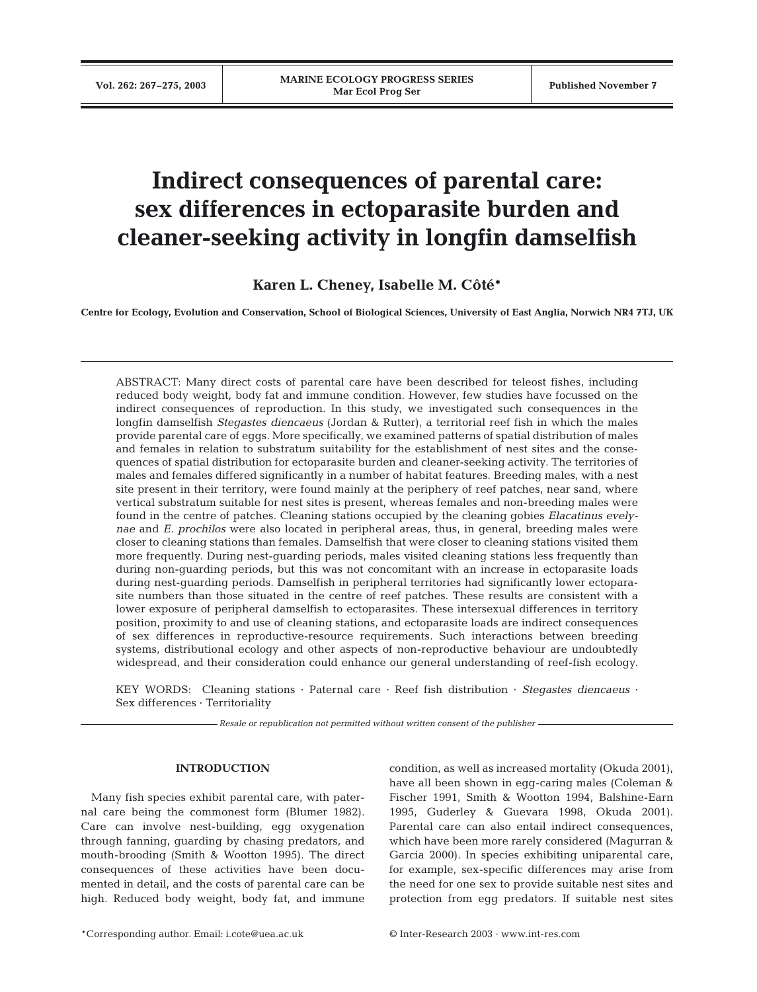# **Indirect consequences of parental care: sex differences in ectoparasite burden and cleaner-seeking activity in longfin damselfish**

**Karen L. Cheney, Isabelle M. Côté\***

**Centre for Ecology, Evolution and Conservation, School of Biological Sciences, University of East Anglia, Norwich NR4 7TJ, UK**

ABSTRACT: Many direct costs of parental care have been described for teleost fishes, including reduced body weight, body fat and immune condition. However, few studies have focussed on the indirect consequences of reproduction. In this study, we investigated such consequences in the longfin damselfish *Stegastes diencaeus* (Jordan & Rutter), a territorial reef fish in which the males provide parental care of eggs. More specifically, we examined patterns of spatial distribution of males and females in relation to substratum suitability for the establishment of nest sites and the consequences of spatial distribution for ectoparasite burden and cleaner-seeking activity. The territories of males and females differed significantly in a number of habitat features. Breeding males, with a nest site present in their territory, were found mainly at the periphery of reef patches, near sand, where vertical substratum suitable for nest sites is present, whereas females and non-breeding males were found in the centre of patches. Cleaning stations occupied by the cleaning gobies *Elacatinus evelynae* and *E. prochilos* were also located in peripheral areas, thus, in general, breeding males were closer to cleaning stations than females. Damselfish that were closer to cleaning stations visited them more frequently. During nest-guarding periods, males visited cleaning stations less frequently than during non-guarding periods, but this was not concomitant with an increase in ectoparasite loads during nest-guarding periods. Damselfish in peripheral territories had significantly lower ectoparasite numbers than those situated in the centre of reef patches. These results are consistent with a lower exposure of peripheral damselfish to ectoparasites. These intersexual differences in territory position, proximity to and use of cleaning stations, and ectoparasite loads are indirect consequences of sex differences in reproductive-resource requirements. Such interactions between breeding systems, distributional ecology and other aspects of non-reproductive behaviour are undoubtedly widespread, and their consideration could enhance our general understanding of reef-fish ecology.

KEY WORDS: Cleaning stations · Paternal care · Reef fish distribution · *Stegastes diencaeus* · Sex differences · Territoriality

*Resale or republication not permitted without written consent of the publisher*

### **INTRODUCTION**

Many fish species exhibit parental care, with paternal care being the commonest form (Blumer 1982). Care can involve nest-building, egg oxygenation through fanning, guarding by chasing predators, and mouth-brooding (Smith & Wootton 1995). The direct consequences of these activities have been documented in detail, and the costs of parental care can be high. Reduced body weight, body fat, and immune condition, as well as increased mortality (Okuda 2001), have all been shown in egg-caring males (Coleman & Fischer 1991, Smith & Wootton 1994, Balshine-Earn 1995, Guderley & Guevara 1998, Okuda 2001). Parental care can also entail indirect consequences, which have been more rarely considered (Magurran & Garcia 2000). In species exhibiting uniparental care, for example, sex-specific differences may arise from the need for one sex to provide suitable nest sites and protection from egg predators. If suitable nest sites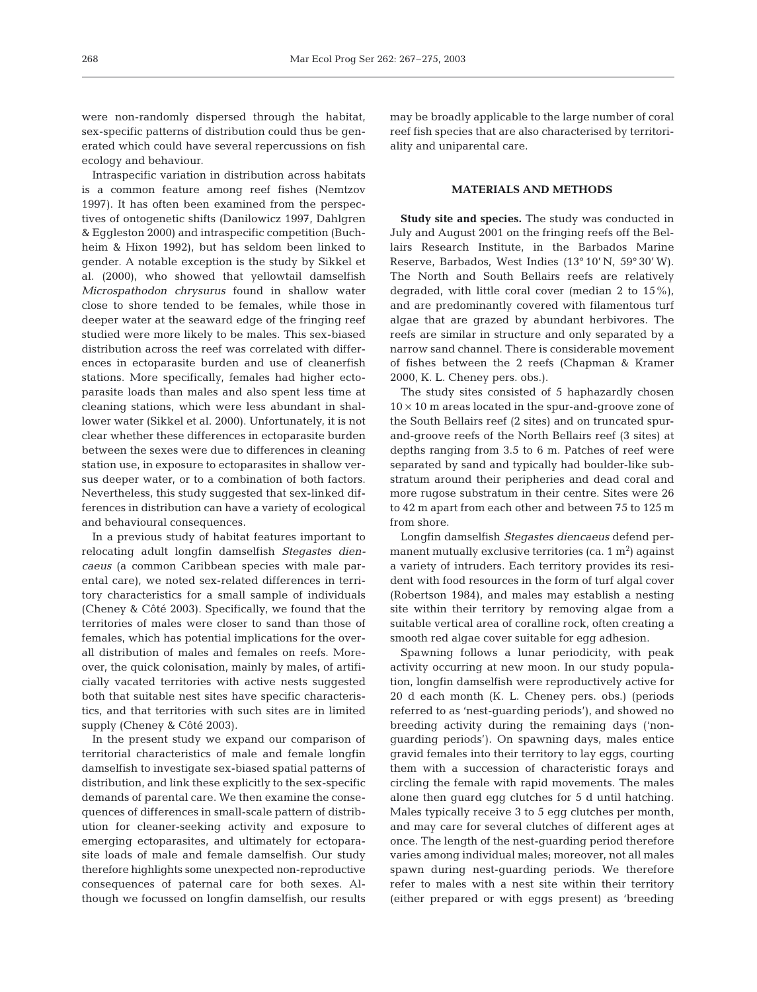were non-randomly dispersed through the habitat, sex-specific patterns of distribution could thus be generated which could have several repercussions on fish ecology and behaviour.

Intraspecific variation in distribution across habitats is a common feature among reef fishes (Nemtzov 1997). It has often been examined from the perspectives of ontogenetic shifts (Danilowicz 1997, Dahlgren & Eggleston 2000) and intraspecific competition (Buchheim & Hixon 1992), but has seldom been linked to gender. A notable exception is the study by Sikkel et al. (2000), who showed that yellowtail damselfish *Microspathodon chrysurus* found in shallow water close to shore tended to be females, while those in deeper water at the seaward edge of the fringing reef studied were more likely to be males. This sex-biased distribution across the reef was correlated with differences in ectoparasite burden and use of cleanerfish stations. More specifically, females had higher ectoparasite loads than males and also spent less time at cleaning stations, which were less abundant in shallower water (Sikkel et al. 2000). Unfortunately, it is not clear whether these differences in ectoparasite burden between the sexes were due to differences in cleaning station use, in exposure to ectoparasites in shallow versus deeper water, or to a combination of both factors. Nevertheless, this study suggested that sex-linked differences in distribution can have a variety of ecological and behavioural consequences.

In a previous study of habitat features important to relocating adult longfin damselfish *Stegastes diencaeus* (a common Caribbean species with male parental care), we noted sex-related differences in territory characteristics for a small sample of individuals (Cheney & Côté 2003). Specifically, we found that the territories of males were closer to sand than those of females, which has potential implications for the overall distribution of males and females on reefs. Moreover, the quick colonisation, mainly by males, of artificially vacated territories with active nests suggested both that suitable nest sites have specific characteristics, and that territories with such sites are in limited supply (Cheney & Côté 2003).

In the present study we expand our comparison of territorial characteristics of male and female longfin damselfish to investigate sex-biased spatial patterns of distribution, and link these explicitly to the sex-specific demands of parental care. We then examine the consequences of differences in small-scale pattern of distribution for cleaner-seeking activity and exposure to emerging ectoparasites, and ultimately for ectoparasite loads of male and female damselfish. Our study therefore highlights some unexpected non-reproductive consequences of paternal care for both sexes. Although we focussed on longfin damselfish, our results

may be broadly applicable to the large number of coral reef fish species that are also characterised by territoriality and uniparental care.

## **MATERIALS AND METHODS**

**Study site and species.** The study was conducted in July and August 2001 on the fringing reefs off the Bellairs Research Institute, in the Barbados Marine Reserve, Barbados, West Indies (13° 10' N, 59° 30' W). The North and South Bellairs reefs are relatively degraded, with little coral cover (median 2 to 15%), and are predominantly covered with filamentous turf algae that are grazed by abundant herbivores. The reefs are similar in structure and only separated by a narrow sand channel. There is considerable movement of fishes between the 2 reefs (Chapman & Kramer 2000, K. L. Cheney pers. obs.).

The study sites consisted of 5 haphazardly chosen  $10 \times 10$  m areas located in the spur-and-groove zone of the South Bellairs reef (2 sites) and on truncated spurand-groove reefs of the North Bellairs reef (3 sites) at depths ranging from 3.5 to 6 m. Patches of reef were separated by sand and typically had boulder-like substratum around their peripheries and dead coral and more rugose substratum in their centre. Sites were 26 to 42 m apart from each other and between 75 to 125 m from shore.

Longfin damselfish *Stegastes diencaeus* defend permanent mutually exclusive territories (ca.  $1 \text{ m}^2$ ) against a variety of intruders. Each territory provides its resident with food resources in the form of turf algal cover (Robertson 1984), and males may establish a nesting site within their territory by removing algae from a suitable vertical area of coralline rock, often creating a smooth red algae cover suitable for egg adhesion.

Spawning follows a lunar periodicity, with peak activity occurring at new moon. In our study population, longfin damselfish were reproductively active for 20 d each month (K. L. Cheney pers. obs.) (periods referred to as 'nest-guarding periods'), and showed no breeding activity during the remaining days ('nonguarding periods'). On spawning days, males entice gravid females into their territory to lay eggs, courting them with a succession of characteristic forays and circling the female with rapid movements. The males alone then guard egg clutches for 5 d until hatching. Males typically receive 3 to 5 egg clutches per month, and may care for several clutches of different ages at once. The length of the nest-guarding period therefore varies among individual males; moreover, not all males spawn during nest-guarding periods. We therefore refer to males with a nest site within their territory (either prepared or with eggs present) as 'breeding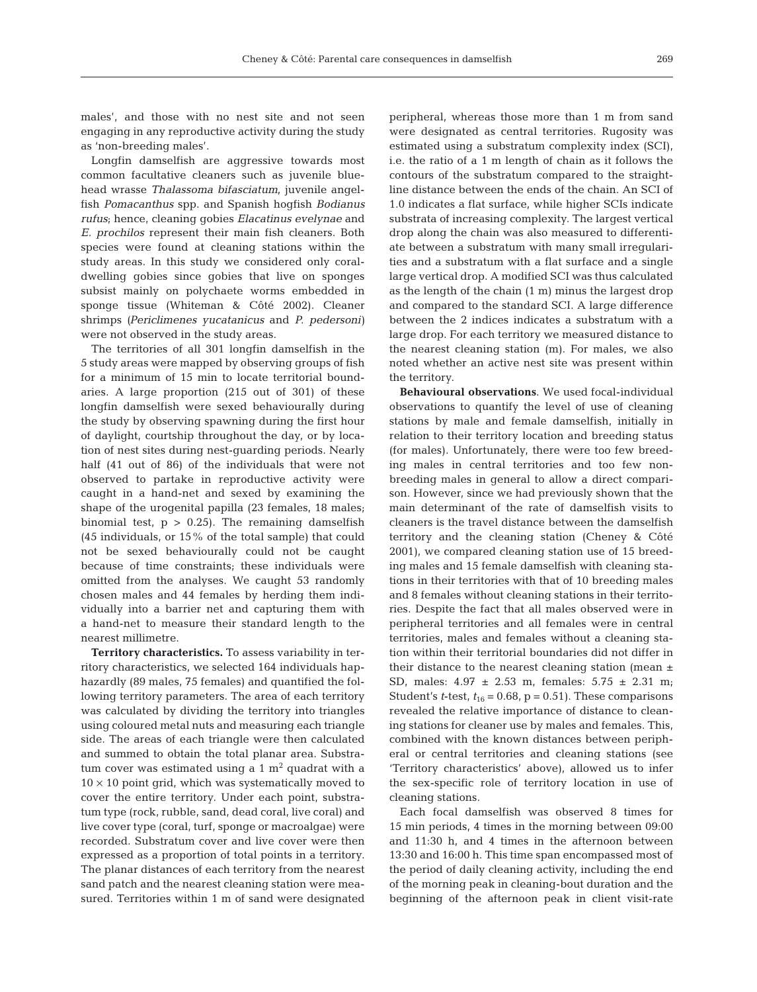males', and those with no nest site and not seen engaging in any reproductive activity during the study as 'non-breeding males'.

Longfin damselfish are aggressive towards most common facultative cleaners such as juvenile bluehead wrasse *Thalassoma bifasciatum*, juvenile angelfish *Pomacanthus* spp. and Spanish hogfish *Bodianus rufus*; hence, cleaning gobies *Elacatinus evelynae* and *E. prochilos* represent their main fish cleaners. Both species were found at cleaning stations within the study areas. In this study we considered only coraldwelling gobies since gobies that live on sponges subsist mainly on polychaete worms embedded in sponge tissue (Whiteman & Côté 2002). Cleaner shrimps *(Periclimenes yucatanicus* and *P. pedersoni)* were not observed in the study areas.

The territories of all 301 longfin damselfish in the 5 study areas were mapped by observing groups of fish for a minimum of 15 min to locate territorial boundaries. A large proportion (215 out of 301) of these longfin damselfish were sexed behaviourally during the study by observing spawning during the first hour of daylight, courtship throughout the day, or by location of nest sites during nest-guarding periods. Nearly half (41 out of 86) of the individuals that were not observed to partake in reproductive activity were caught in a hand-net and sexed by examining the shape of the urogenital papilla (23 females, 18 males; binomial test,  $p > 0.25$ ). The remaining damselfish (45 individuals, or 15% of the total sample) that could not be sexed behaviourally could not be caught because of time constraints; these individuals were omitted from the analyses. We caught 53 randomly chosen males and 44 females by herding them individually into a barrier net and capturing them with a hand-net to measure their standard length to the nearest millimetre.

**Territory characteristics.** To assess variability in territory characteristics, we selected 164 individuals haphazardly (89 males, 75 females) and quantified the following territory parameters. The area of each territory was calculated by dividing the territory into triangles using coloured metal nuts and measuring each triangle side. The areas of each triangle were then calculated and summed to obtain the total planar area. Substratum cover was estimated using a 1  $m<sup>2</sup>$  quadrat with a  $10 \times 10$  point grid, which was systematically moved to cover the entire territory. Under each point, substratum type (rock, rubble, sand, dead coral, live coral) and live cover type (coral, turf, sponge or macroalgae) were recorded. Substratum cover and live cover were then expressed as a proportion of total points in a territory. The planar distances of each territory from the nearest sand patch and the nearest cleaning station were measured. Territories within 1 m of sand were designated

peripheral, whereas those more than 1 m from sand were designated as central territories. Rugosity was estimated using a substratum complexity index (SCI), i.e. the ratio of a 1 m length of chain as it follows the contours of the substratum compared to the straightline distance between the ends of the chain. An SCI of 1.0 indicates a flat surface, while higher SCIs indicate substrata of increasing complexity. The largest vertical drop along the chain was also measured to differentiate between a substratum with many small irregularities and a substratum with a flat surface and a single large vertical drop. A modified SCI was thus calculated as the length of the chain (1 m) minus the largest drop and compared to the standard SCI. A large difference between the 2 indices indicates a substratum with a large drop. For each territory we measured distance to the nearest cleaning station (m). For males, we also noted whether an active nest site was present within the territory.

**Behavioural observations**. We used focal-individual observations to quantify the level of use of cleaning stations by male and female damselfish, initially in relation to their territory location and breeding status (for males). Unfortunately, there were too few breeding males in central territories and too few nonbreeding males in general to allow a direct comparison. However, since we had previously shown that the main determinant of the rate of damselfish visits to cleaners is the travel distance between the damselfish territory and the cleaning station (Cheney & Côté 2001), we compared cleaning station use of 15 breeding males and 15 female damselfish with cleaning stations in their territories with that of 10 breeding males and 8 females without cleaning stations in their territories. Despite the fact that all males observed were in peripheral territories and all females were in central territories, males and females without a cleaning station within their territorial boundaries did not differ in their distance to the nearest cleaning station (mean ± SD, males: 4.97 ± 2.53 m, females: 5.75 ± 2.31 m; Student's *t*-test,  $t_{16} = 0.68$ ,  $p = 0.51$ ). These comparisons revealed the relative importance of distance to cleaning stations for cleaner use by males and females. This, combined with the known distances between peripheral or central territories and cleaning stations (see 'Territory characteristics' above), allowed us to infer the sex-specific role of territory location in use of cleaning stations.

Each focal damselfish was observed 8 times for 15 min periods, 4 times in the morning between 09:00 and 11:30 h, and 4 times in the afternoon between 13:30 and 16:00 h. This time span encompassed most of the period of daily cleaning activity, including the end of the morning peak in cleaning-bout duration and the beginning of the afternoon peak in client visit-rate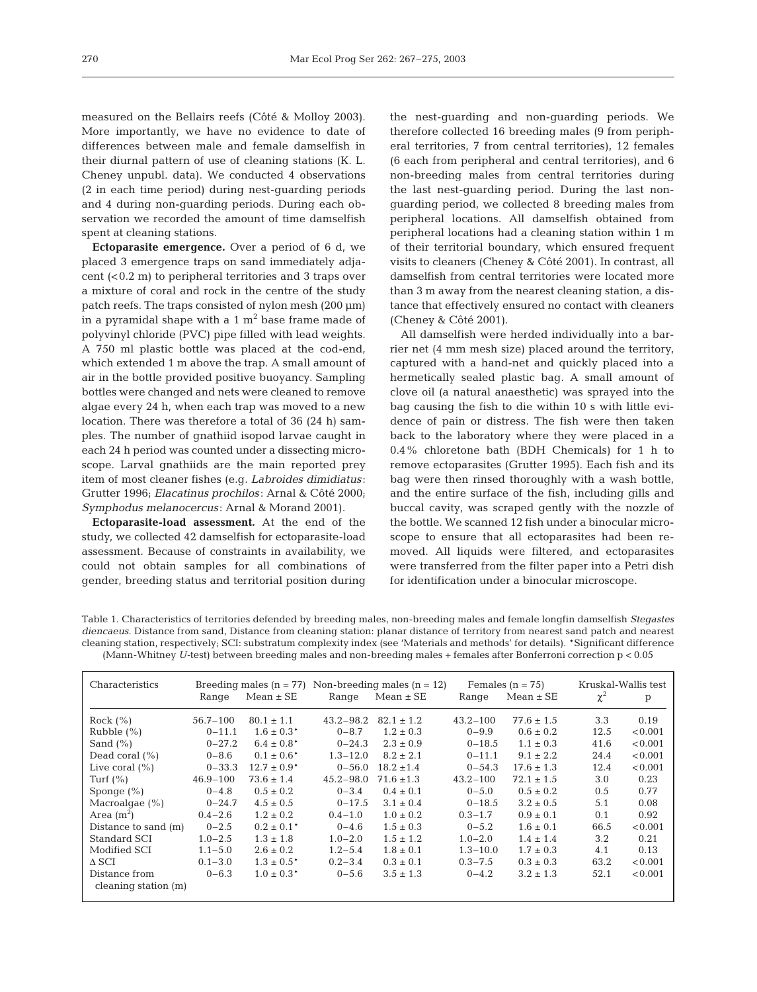measured on the Bellairs reefs (Côté & Molloy 2003). More importantly, we have no evidence to date of differences between male and female damselfish in their diurnal pattern of use of cleaning stations (K. L. Cheney unpubl. data). We conducted 4 observations (2 in each time period) during nest-guarding periods and 4 during non-guarding periods. During each observation we recorded the amount of time damselfish spent at cleaning stations.

**Ectoparasite emergence.** Over a period of 6 d, we placed 3 emergence traps on sand immediately adjacent (<0.2 m) to peripheral territories and 3 traps over a mixture of coral and rock in the centre of the study patch reefs. The traps consisted of nylon mesh (200 µm) in a pyramidal shape with a  $1 \text{ m}^2$  base frame made of polyvinyl chloride (PVC) pipe filled with lead weights. A 750 ml plastic bottle was placed at the cod-end, which extended 1 m above the trap. A small amount of air in the bottle provided positive buoyancy. Sampling bottles were changed and nets were cleaned to remove algae every 24 h, when each trap was moved to a new location. There was therefore a total of 36 (24 h) samples. The number of gnathiid isopod larvae caught in each 24 h period was counted under a dissecting microscope. Larval gnathiids are the main reported prey item of most cleaner fishes (e.g*. Labroides dimidiatus* : Grutter 1996; *Elacatinus prochilos*: Arnal & Côté 2000; *Symphodus melanocercus*: Arnal & Morand 2001).

**Ectoparasite-load assessment.** At the end of the study, we collected 42 damselfish for ectoparasite-load assessment. Because of constraints in availability, we could not obtain samples for all combinations of gender, breeding status and territorial position during the nest-guarding and non-guarding periods. We therefore collected 16 breeding males (9 from peripheral territories, 7 from central territories), 12 females (6 each from peripheral and central territories), and 6 non-breeding males from central territories during the last nest-guarding period. During the last nonguarding period, we collected 8 breeding males from peripheral locations. All damselfish obtained from peripheral locations had a cleaning station within 1 m of their territorial boundary, which ensured frequent visits to cleaners (Cheney & Côté 2001). In contrast, all damselfish from central territories were located more than 3 m away from the nearest cleaning station, a distance that effectively ensured no contact with cleaners (Cheney & Côté 2001).

All damselfish were herded individually into a barrier net (4 mm mesh size) placed around the territory, captured with a hand-net and quickly placed into a hermetically sealed plastic bag. A small amount of clove oil (a natural anaesthetic) was sprayed into the bag causing the fish to die within 10 s with little evidence of pain or distress. The fish were then taken back to the laboratory where they were placed in a 0.4% chloretone bath (BDH Chemicals) for 1 h to remove ectoparasites (Grutter 1995). Each fish and its bag were then rinsed thoroughly with a wash bottle, and the entire surface of the fish, including gills and buccal cavity, was scraped gently with the nozzle of the bottle. We scanned 12 fish under a binocular microscope to ensure that all ectoparasites had been removed. All liquids were filtered, and ectoparasites were transferred from the filter paper into a Petri dish for identification under a binocular microscope.

Table 1. Characteristics of territories defended by breeding males, non-breeding males and female longfin damselfish *Stegastes diencaeus*. Distance from sand, Distance from cleaning station: planar distance of territory from nearest sand patch and nearest cleaning station, respectively; SCI: substratum complexity index (see 'Materials and methods' for details). \*Significant difference (Mann-Whitney *U-*test) between breeding males and non-breeding males + females after Bonferroni correction p < 0.05

| Characteristics        |              |                 | Breeding males $(n = 77)$ Non-breeding males $(n = 12)$ |                | Females $(n = 75)$ |                | Kruskal-Wallis test |         |
|------------------------|--------------|-----------------|---------------------------------------------------------|----------------|--------------------|----------------|---------------------|---------|
|                        | Range        | $Mean \pm SE$   | Range                                                   | $Mean \pm SE$  | Range              | $Mean \pm SE$  | $\chi^2$            | p       |
| Rock $(\% )$           | $56.7 - 100$ | $80.1 \pm 1.1$  | $43.2 - 98.2$                                           | $82.1 \pm 1.2$ | $43.2 - 100$       | $77.6 \pm 1.5$ | 3.3                 | 0.19    |
| Rubble $(\%)$          | $0 - 11.1$   | $1.6 \pm 0.3*$  | $0 - 8.7$                                               | $1.2 \pm 0.3$  | $0 - 9.9$          | $0.6 \pm 0.2$  | 12.5                | < 0.001 |
| Sand $(\% )$           | $0 - 27.2$   | $6.4 \pm 0.8^*$ | $0 - 24.3$                                              | $2.3 \pm 0.9$  | $0 - 18.5$         | $1.1 \pm 0.3$  | 41.6                | < 0.001 |
| Dead coral $(\% )$     | $0 - 8.6$    | $0.1 \pm 0.6^*$ | $1.3 - 12.0$                                            | $8.2 \pm 2.1$  | $0 - 11.1$         | $9.1 \pm 2.2$  | 24.4                | < 0.001 |
| Live coral $(\% )$     | $0 - 33.3$   | $12.7 \pm 0.9*$ | $0 - 56.0$                                              | $18.2 \pm 1.4$ | $0 - 54.3$         | $17.6 \pm 1.3$ | 12.4                | < 0.001 |
| Turf $(\% )$           | $46.9 - 100$ | $73.6 \pm 1.4$  | $45.2 - 98.0$                                           | $71.6 \pm 1.3$ | $43.2 - 100$       | $72.1 \pm 1.5$ | 3.0                 | 0.23    |
| Sponge $(\% )$         | $0 - 4.8$    | $0.5 \pm 0.2$   | $0 - 3.4$                                               | $0.4 \pm 0.1$  | $0 - 5.0$          | $0.5 \pm 0.2$  | $0.5^{\circ}$       | 0.77    |
| Macroalgae $(\%)$      | $0 - 24.7$   | $4.5 \pm 0.5$   | $0 - 17.5$                                              | $3.1 \pm 0.4$  | $0 - 18.5$         | $3.2 \pm 0.5$  | 5.1                 | 0.08    |
| Area $(m^2)$           | $0.4 - 2.6$  | $1.2 \pm 0.2$   | $0.4 - 1.0$                                             | $1.0 \pm 0.2$  | $0.3 - 1.7$        | $0.9 \pm 0.1$  | 0.1                 | 0.92    |
| Distance to sand (m)   | $0 - 2.5$    | $0.2 \pm 0.1*$  | $0 - 4.6$                                               | $1.5 \pm 0.3$  | $0 - 5.2$          | $1.6 \pm 0.1$  | 66.5                | < 0.001 |
| Standard SCI           | $1.0 - 2.5$  | $1.3 \pm 1.8$   | $1.0 - 2.0$                                             | $1.5 \pm 1.2$  | $1.0 - 2.0$        | $1.4 \pm 1.4$  | 3.2                 | 0.21    |
| Modified SCI           | $1.1 - 5.0$  | $2.6 \pm 0.2$   | $1.2 - 5.4$                                             | $1.8 \pm 0.1$  | $1.3 - 10.0$       | $1.7 \pm 0.3$  | 4.1                 | 0.13    |
| $\Delta$ SCI           | $0.1 - 3.0$  | $1.3 \pm 0.5^*$ | $0.2 - 3.4$                                             | $0.3 \pm 0.1$  | $0.3 - 7.5$        | $0.3 \pm 0.3$  | 63.2                | < 0.001 |
| Distance from          | $0 - 6.3$    | $1.0 \pm 0.3*$  | $0 - 5.6$                                               | $3.5 \pm 1.3$  | $0 - 4.2$          | $3.2 \pm 1.3$  | 52.1                | < 0.001 |
| cleaning station $(m)$ |              |                 |                                                         |                |                    |                |                     |         |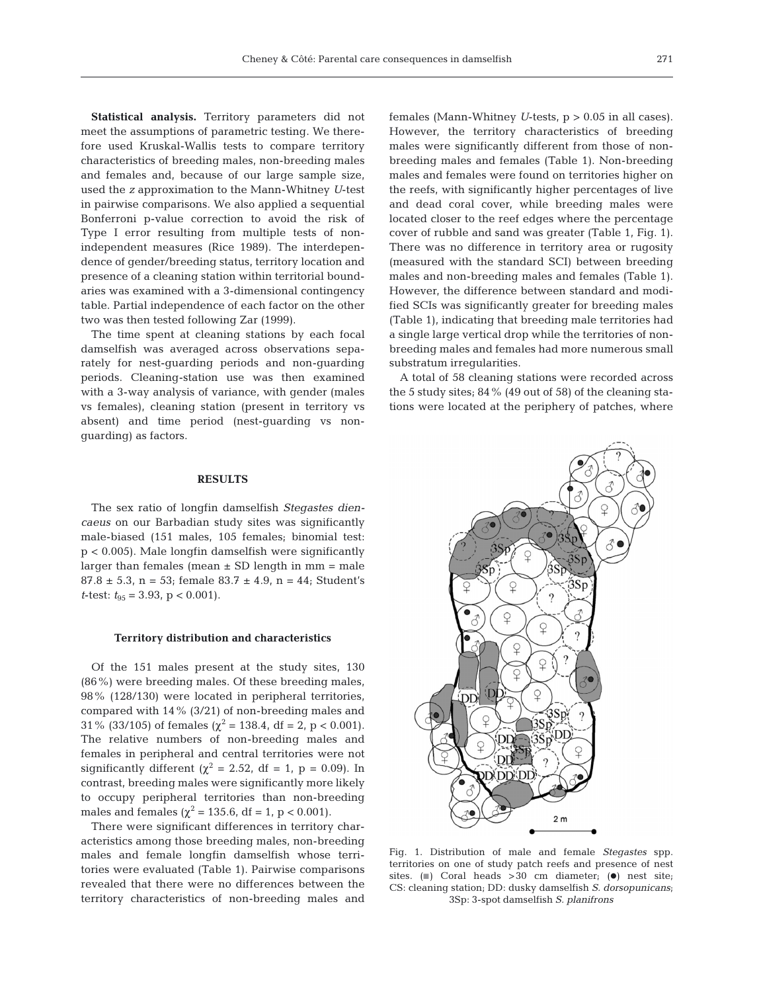**Statistical analysis.** Territory parameters did not meet the assumptions of parametric testing. We therefore used Kruskal-Wallis tests to compare territory characteristics of breeding males, non-breeding males and females and, because of our large sample size, used the *z* approximation to the Mann-Whitney *U*-test in pairwise comparisons. We also applied a sequential Bonferroni p-value correction to avoid the risk of Type I error resulting from multiple tests of nonindependent measures (Rice 1989). The interdependence of gender/breeding status, territory location and presence of a cleaning station within territorial boundaries was examined with a 3-dimensional contingency table. Partial independence of each factor on the other two was then tested following Zar (1999).

The time spent at cleaning stations by each focal damselfish was averaged across observations separately for nest-guarding periods and non-guarding periods. Cleaning-station use was then examined with a 3-way analysis of variance, with gender (males vs females), cleaning station (present in territory vs absent) and time period (nest-guarding vs nonguarding) as factors.

#### **RESULTS**

The sex ratio of longfin damselfish *Stegastes diencaeus* on our Barbadian study sites was significantly male-biased (151 males, 105 females; binomial test: p < 0.005). Male longfin damselfish were significantly larger than females (mean  $\pm$  SD length in mm = male  $87.8 \pm 5.3$ , n = 53; female  $83.7 \pm 4.9$ , n = 44; Student's *t*-test:  $t_{95} = 3.93$ , p < 0.001).

#### **Territory distribution and characteristics**

Of the 151 males present at the study sites, 130 (86%) were breeding males. Of these breeding males, 98% (128/130) were located in peripheral territories, compared with 14% (3/21) of non-breeding males and 31% (33/105) of females ( $\chi^2$  = 138.4, df = 2, p < 0.001). The relative numbers of non-breeding males and females in peripheral and central territories were not significantly different ( $\chi^2$  = 2.52, df = 1, p = 0.09). In contrast, breeding males were significantly more likely to occupy peripheral territories than non-breeding males and females ( $\chi^2$  = 135.6, df = 1, p < 0.001).

There were significant differences in territory characteristics among those breeding males, non-breeding males and female longfin damselfish whose territories were evaluated (Table 1). Pairwise comparisons revealed that there were no differences between the territory characteristics of non-breeding males and

females (Mann-Whitney *U*-tests, p > 0.05 in all cases). However, the territory characteristics of breeding males were significantly different from those of nonbreeding males and females (Table 1). Non-breeding males and females were found on territories higher on the reefs, with significantly higher percentages of live and dead coral cover, while breeding males were located closer to the reef edges where the percentage cover of rubble and sand was greater (Table 1, Fig. 1). There was no difference in territory area or rugosity (measured with the standard SCI) between breeding males and non-breeding males and females (Table 1). However, the difference between standard and modified SCIs was significantly greater for breeding males (Table 1), indicating that breeding male territories had a single large vertical drop while the territories of nonbreeding males and females had more numerous small substratum irregularities.

A total of 58 cleaning stations were recorded across the 5 study sites; 84% (49 out of 58) of the cleaning stations were located at the periphery of patches, where



Fig. 1. Distribution of male and female *Stegastes* spp. territories on one of study patch reefs and presence of nest sites. ( $\blacksquare$ ) Coral heads >30 cm diameter; ( $\blacksquare$ ) nest site; CS: cleaning station; DD: dusky damselfish *S. dorsopunicans*; 3Sp: 3-spot damselfish *S. planifrons*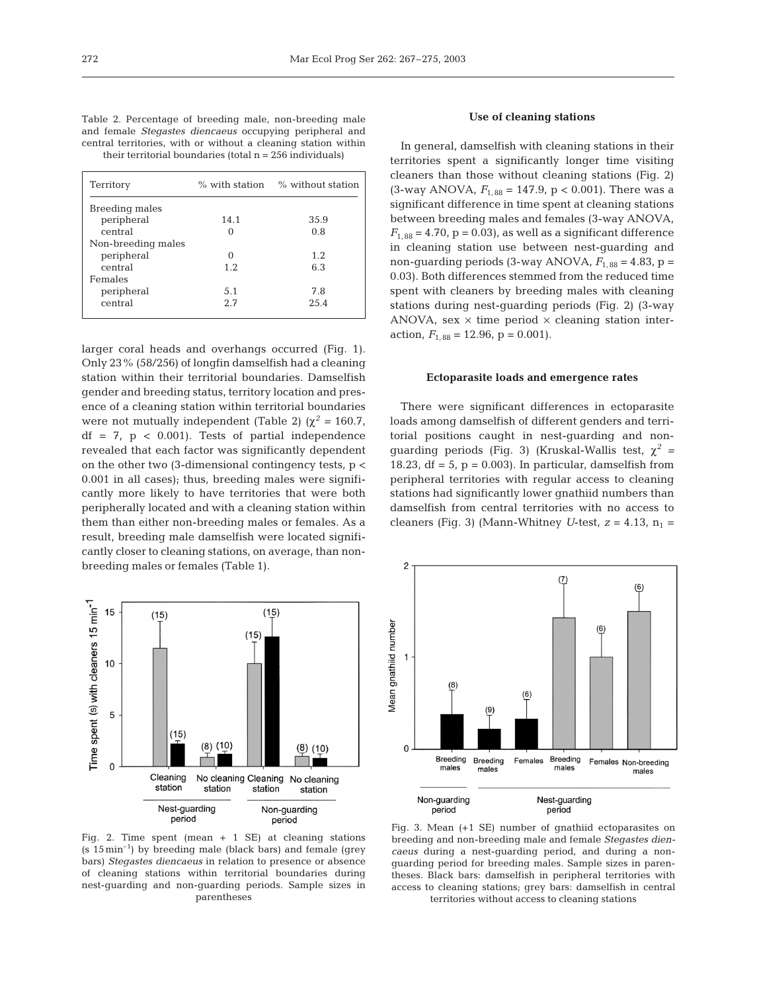Table 2. Percentage of breeding male, non-breeding male and female *Stegastes diencaeus* occupying peripheral and central territories, with or without a cleaning station within their territorial boundaries (total  $n = 256$  individuals)

| Territory          | $\%$ with station | % without station |
|--------------------|-------------------|-------------------|
| Breeding males     |                   |                   |
| peripheral         | 14.1              | 35.9              |
| central            |                   | 0.8               |
| Non-breeding males |                   |                   |
| peripheral         | 0                 | 1.2               |
| central            | 1.2               | 6.3               |
| Females            |                   |                   |
| peripheral         | 5.1               | 7.8               |
| central            | 2.7               | 25.4              |
|                    |                   |                   |

larger coral heads and overhangs occurred (Fig. 1). Only 23% (58/256) of longfin damselfish had a cleaning station within their territorial boundaries. Damselfish gender and breeding status, territory location and presence of a cleaning station within territorial boundaries were not mutually independent (Table 2) ( $\chi^2$  = 160.7,  $df = 7$ ,  $p < 0.001$ ). Tests of partial independence revealed that each factor was significantly dependent on the other two  $(3\text{-dimensional contingency tests}, p <$ 0.001 in all cases); thus, breeding males were significantly more likely to have territories that were both peripherally located and with a cleaning station within them than either non-breeding males or females. As a result, breeding male damselfish were located significantly closer to cleaning stations, on average, than nonbreeding males or females (Table 1).



Fig. 2. Time spent (mean  $+ 1$  SE) at cleaning stations  $(s 15 \text{min}^{-1})$  by breeding male (black bars) and female (grey bars) *Stegastes diencaeus* in relation to presence or absence of cleaning stations within territorial boundaries during nest-guarding and non-guarding periods. Sample sizes in parentheses

#### **Use of cleaning stations**

In general, damselfish with cleaning stations in their territories spent a significantly longer time visiting cleaners than those without cleaning stations (Fig. 2)  $(3$ -way ANOVA,  $F_{1, 88} = 147.9$ ,  $p < 0.001$ ). There was a significant difference in time spent at cleaning stations between breeding males and females (3-way ANOVA,  $F_{1, 88} = 4.70$ ,  $p = 0.03$ , as well as a significant difference in cleaning station use between nest-guarding and non-quarding periods  $(3$ -way ANOVA,  $F_{1, 88} = 4.83$ ,  $p =$ 0.03). Both differences stemmed from the reduced time spent with cleaners by breeding males with cleaning stations during nest-guarding periods (Fig. 2) (3-way ANOVA, sex  $\times$  time period  $\times$  cleaning station interaction,  $F_{1, 88} = 12.96$ ,  $p = 0.001$ ).

#### **Ectoparasite loads and emergence rates**

There were significant differences in ectoparasite loads among damselfish of different genders and territorial positions caught in nest-guarding and nonguarding periods (Fig. 3) (Kruskal-Wallis test, χ*<sup>2</sup> =* 18.23, df =  $5$ , p = 0.003). In particular, damselfish from peripheral territories with regular access to cleaning stations had significantly lower gnathiid numbers than damselfish from central territories with no access to cleaners (Fig. 3) (Mann-Whitney *U*-test,  $z = 4.13$ ,  $n_1 =$ 



Fig. 3. Mean (+1 SE) number of gnathiid ectoparasites on breeding and non-breeding male and female *Stegastes diencaeus* during a nest-guarding period, and during a nonguarding period for breeding males. Sample sizes in parentheses. Black bars: damselfish in peripheral territories with access to cleaning stations; grey bars: damselfish in central territories without access to cleaning stations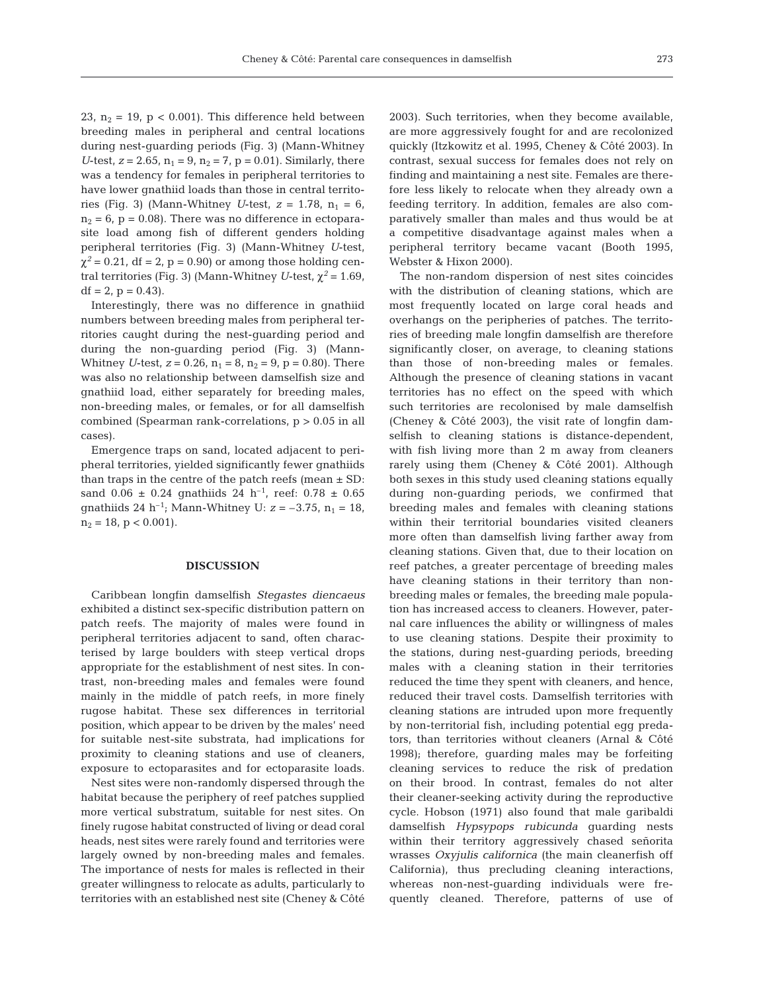23,  $n_2 = 19$ ,  $p < 0.001$ ). This difference held between breeding males in peripheral and central locations during nest-guarding periods (Fig. 3) (Mann-Whitney *U*-test,  $z = 2.65$ ,  $n_1 = 9$ ,  $n_2 = 7$ ,  $p = 0.01$ ). Similarly, there was a tendency for females in peripheral territories to have lower gnathiid loads than those in central territories (Fig. 3) (Mann-Whitney *U*-test,  $z = 1.78$ ,  $n_1 = 6$ ,  $n_2 = 6$ ,  $p = 0.08$ ). There was no difference in ectoparasite load among fish of different genders holding peripheral territories (Fig. 3) (Mann-Whitney *U*-test,  $\chi^2$  = 0.21, df = 2, p = 0.90) or among those holding central territories (Fig. 3) (Mann-Whitney *U*-test,  $\chi^2$  = 1.69,  $df = 2$ ,  $p = 0.43$ ).

Interestingly, there was no difference in gnathiid numbers between breeding males from peripheral territories caught during the nest-guarding period and during the non-guarding period (Fig. 3) (Mann-Whitney *U*-test,  $z = 0.26$ ,  $n_1 = 8$ ,  $n_2 = 9$ ,  $p = 0.80$ ). There was also no relationship between damselfish size and gnathiid load, either separately for breeding males, non-breeding males, or females, or for all damselfish combined (Spearman rank-correlations, p > 0.05 in all cases).

Emergence traps on sand, located adjacent to peripheral territories, yielded significantly fewer gnathiids than traps in the centre of the patch reefs (mean  $\pm$  SD: sand  $0.06 \pm 0.24$  gnathiids 24 h<sup>-1</sup>, reef:  $0.78 \pm 0.65$ gnathiids 24 h<sup>-1</sup>; Mann-Whitney U:  $z = -3.75$ ,  $n_1 = 18$ ,  $n_2 = 18$ ,  $p < 0.001$ ).

# **DISCUSSION**

Caribbean longfin damselfish *Stegastes diencaeus* exhibited a distinct sex-specific distribution pattern on patch reefs. The majority of males were found in peripheral territories adjacent to sand, often characterised by large boulders with steep vertical drops appropriate for the establishment of nest sites. In contrast, non-breeding males and females were found mainly in the middle of patch reefs, in more finely rugose habitat. These sex differences in territorial position, which appear to be driven by the males' need for suitable nest-site substrata, had implications for proximity to cleaning stations and use of cleaners, exposure to ectoparasites and for ectoparasite loads.

Nest sites were non-randomly dispersed through the habitat because the periphery of reef patches supplied more vertical substratum, suitable for nest sites. On finely rugose habitat constructed of living or dead coral heads, nest sites were rarely found and territories were largely owned by non-breeding males and females. The importance of nests for males is reflected in their greater willingness to relocate as adults, particularly to territories with an established nest site (Cheney & Côté

2003). Such territories, when they become available, are more aggressively fought for and are recolonized quickly (Itzkowitz et al. 1995, Cheney & Côté 2003). In contrast, sexual success for females does not rely on finding and maintaining a nest site. Females are therefore less likely to relocate when they already own a feeding territory. In addition, females are also comparatively smaller than males and thus would be at a competitive disadvantage against males when a peripheral territory became vacant (Booth 1995, Webster & Hixon 2000).

The non-random dispersion of nest sites coincides with the distribution of cleaning stations, which are most frequently located on large coral heads and overhangs on the peripheries of patches. The territories of breeding male longfin damselfish are therefore significantly closer, on average, to cleaning stations than those of non-breeding males or females. Although the presence of cleaning stations in vacant territories has no effect on the speed with which such territories are recolonised by male damselfish (Cheney & Côté 2003), the visit rate of longfin damselfish to cleaning stations is distance-dependent, with fish living more than 2 m away from cleaners rarely using them (Cheney & Côté 2001). Although both sexes in this study used cleaning stations equally during non-guarding periods, we confirmed that breeding males and females with cleaning stations within their territorial boundaries visited cleaners more often than damselfish living farther away from cleaning stations. Given that, due to their location on reef patches, a greater percentage of breeding males have cleaning stations in their territory than nonbreeding males or females, the breeding male population has increased access to cleaners. However, paternal care influences the ability or willingness of males to use cleaning stations. Despite their proximity to the stations, during nest-guarding periods, breeding males with a cleaning station in their territories reduced the time they spent with cleaners, and hence, reduced their travel costs. Damselfish territories with cleaning stations are intruded upon more frequently by non-territorial fish, including potential egg predators, than territories without cleaners (Arnal & Côté 1998); therefore, guarding males may be forfeiting cleaning services to reduce the risk of predation on their brood. In contrast, females do not alter their cleaner-seeking activity during the reproductive cycle. Hobson (1971) also found that male garibaldi damselfish *Hypsypops rubicunda* guarding nests within their territory aggressively chased señorita wrasses *Oxyjulis californica* (the main cleanerfish off California), thus precluding cleaning interactions, whereas non-nest-guarding individuals were frequently cleaned. Therefore, patterns of use of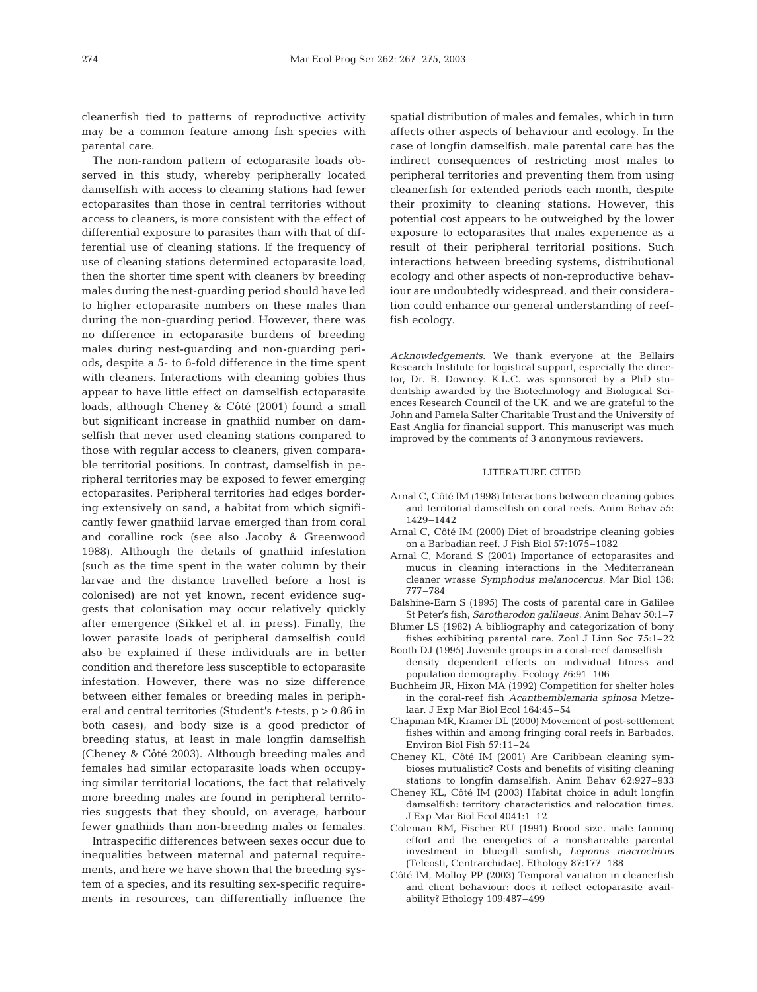cleanerfish tied to patterns of reproductive activity may be a common feature among fish species with parental care.

The non-random pattern of ectoparasite loads observed in this study, whereby peripherally located damselfish with access to cleaning stations had fewer ectoparasites than those in central territories without access to cleaners, is more consistent with the effect of differential exposure to parasites than with that of differential use of cleaning stations. If the frequency of use of cleaning stations determined ectoparasite load, then the shorter time spent with cleaners by breeding males during the nest-guarding period should have led to higher ectoparasite numbers on these males than during the non-guarding period. However, there was no difference in ectoparasite burdens of breeding males during nest-guarding and non-guarding periods, despite a 5- to 6-fold difference in the time spent with cleaners. Interactions with cleaning gobies thus appear to have little effect on damselfish ectoparasite loads, although Cheney & Côté (2001) found a small but significant increase in gnathiid number on damselfish that never used cleaning stations compared to those with regular access to cleaners, given comparable territorial positions. In contrast, damselfish in peripheral territories may be exposed to fewer emerging ectoparasites. Peripheral territories had edges bordering extensively on sand, a habitat from which significantly fewer gnathiid larvae emerged than from coral and coralline rock (see also Jacoby & Greenwood 1988). Although the details of gnathiid infestation (such as the time spent in the water column by their larvae and the distance travelled before a host is colonised) are not yet known, recent evidence suggests that colonisation may occur relatively quickly after emergence (Sikkel et al. in press). Finally, the lower parasite loads of peripheral damselfish could also be explained if these individuals are in better condition and therefore less susceptible to ectoparasite infestation. However, there was no size difference between either females or breeding males in peripheral and central territories (Student's *t*-tests, p > 0.86 in both cases), and body size is a good predictor of breeding status, at least in male longfin damselfish (Cheney & Côté 2003). Although breeding males and females had similar ectoparasite loads when occupying similar territorial locations, the fact that relatively more breeding males are found in peripheral territories suggests that they should, on average, harbour fewer gnathiids than non-breeding males or females.

Intraspecific differences between sexes occur due to inequalities between maternal and paternal requirements, and here we have shown that the breeding system of a species, and its resulting sex-specific requirements in resources, can differentially influence the

spatial distribution of males and females, which in turn affects other aspects of behaviour and ecology. In the case of longfin damselfish, male parental care has the indirect consequences of restricting most males to peripheral territories and preventing them from using cleanerfish for extended periods each month, despite their proximity to cleaning stations. However, this potential cost appears to be outweighed by the lower exposure to ectoparasites that males experience as a result of their peripheral territorial positions. Such interactions between breeding systems, distributional ecology and other aspects of non-reproductive behaviour are undoubtedly widespread, and their consideration could enhance our general understanding of reeffish ecology.

*Acknowledgements.* We thank everyone at the Bellairs Research Institute for logistical support, especially the director, Dr. B. Downey. K.L.C. was sponsored by a PhD studentship awarded by the Biotechnology and Biological Sciences Research Council of the UK, and we are grateful to the John and Pamela Salter Charitable Trust and the University of East Anglia for financial support. This manuscript was much improved by the comments of 3 anonymous reviewers.

#### LITERATURE CITED

- Arnal C, Côté IM (1998) Interactions between cleaning gobies and territorial damselfish on coral reefs. Anim Behav 55: 1429–1442
- Arnal C, Côté IM (2000) Diet of broadstripe cleaning gobies on a Barbadian reef. J Fish Biol 57:1075–1082
- Arnal C, Morand S (2001) Importance of ectoparasites and mucus in cleaning interactions in the Mediterranean cleaner wrasse *Symphodus melanocercus*. Mar Biol 138: 777–784
- Balshine-Earn S (1995) The costs of parental care in Galilee St Peter's fish, *Sarotherodon galilaeus.* Anim Behav 50:1–7
- Blumer LS (1982) A bibliography and categorization of bony fishes exhibiting parental care. Zool J Linn Soc 75:1–22
- Booth DJ (1995) Juvenile groups in a coral-reef damselfish density dependent effects on individual fitness and population demography. Ecology 76:91–106
- Buchheim JR, Hixon MA (1992) Competition for shelter holes in the coral-reef fish *Acanthemblemaria spinosa* Metzelaar. J Exp Mar Biol Ecol 164:45–54
- Chapman MR, Kramer DL (2000) Movement of post-settlement fishes within and among fringing coral reefs in Barbados. Environ Biol Fish 57:11–24
- Cheney KL, Côté IM (2001) Are Caribbean cleaning symbioses mutualistic? Costs and benefits of visiting cleaning stations to longfin damselfish. Anim Behav 62:927–933
- Cheney KL, Côté IM (2003) Habitat choice in adult longfin damselfish: territory characteristics and relocation times. J Exp Mar Biol Ecol 4041:1–12
- Coleman RM, Fischer RU (1991) Brood size, male fanning effort and the energetics of a nonshareable parental investment in bluegill sunfish, *Lepomis macrochirus* (Teleosti, Centrarchidae). Ethology 87:177–188
- Côté IM, Molloy PP (2003) Temporal variation in cleanerfish and client behaviour: does it reflect ectoparasite availability? Ethology 109:487–499